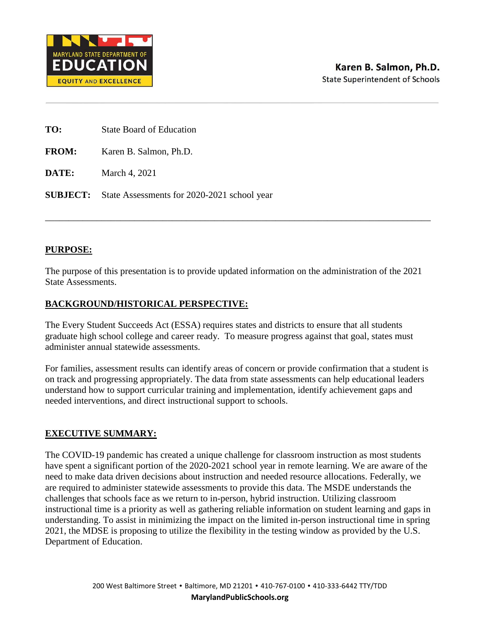

| TO: | <b>State Board of Education</b> |
|-----|---------------------------------|
|     |                                 |

**FROM:** Karen B. Salmon, Ph.D.

**DATE:** March 4, 2021

**SUBJECT:** State Assessments for 2020-2021 school year

## **PURPOSE:**

The purpose of this presentation is to provide updated information on the administration of the 2021 State Assessments.

\_\_\_\_\_\_\_\_\_\_\_\_\_\_\_\_\_\_\_\_\_\_\_\_\_\_\_\_\_\_\_\_\_\_\_\_\_\_\_\_\_\_\_\_\_\_\_\_\_\_\_\_\_\_\_\_\_\_\_\_\_\_\_\_\_\_\_\_\_\_\_\_\_\_\_\_\_\_\_\_\_\_

## **BACKGROUND/HISTORICAL PERSPECTIVE:**

The Every Student Succeeds Act (ESSA) requires states and districts to ensure that all students graduate high school college and career ready. To measure progress against that goal, states must administer annual statewide assessments.

For families, assessment results can identify areas of concern or provide confirmation that a student is on track and progressing appropriately. The data from state assessments can help educational leaders understand how to support curricular training and implementation, identify achievement gaps and needed interventions, and direct instructional support to schools.

## **EXECUTIVE SUMMARY:**

The COVID-19 pandemic has created a unique challenge for classroom instruction as most students have spent a significant portion of the 2020-2021 school year in remote learning. We are aware of the need to make data driven decisions about instruction and needed resource allocations. Federally, we are required to administer statewide assessments to provide this data. The MSDE understands the challenges that schools face as we return to in-person, hybrid instruction. Utilizing classroom instructional time is a priority as well as gathering reliable information on student learning and gaps in understanding. To assist in minimizing the impact on the limited in-person instructional time in spring 2021, the MDSE is proposing to utilize the flexibility in the testing window as provided by the U.S. Department of Education.